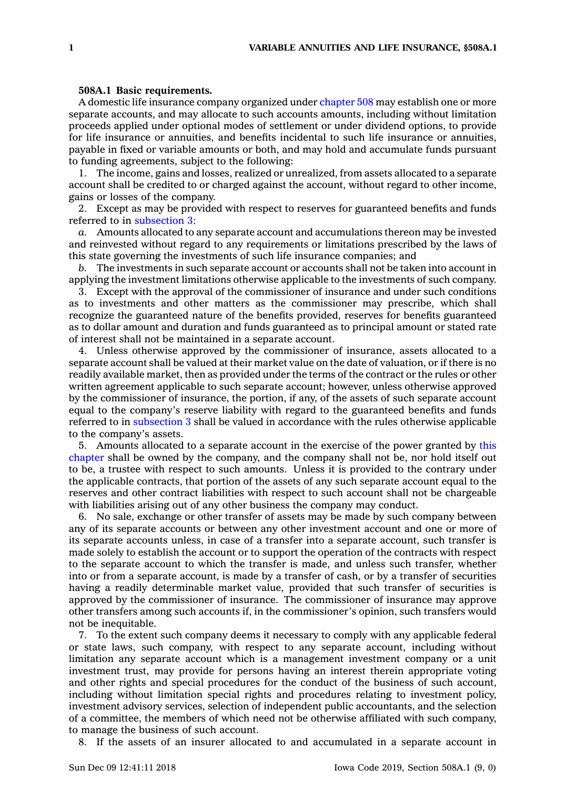## **508A.1 Basic requirements.**

A domestic life insurance company organized under [chapter](https://www.legis.iowa.gov/docs/code//508.pdf) 508 may establish one or more separate accounts, and may allocate to such accounts amounts, including without limitation proceeds applied under optional modes of settlement or under dividend options, to provide for life insurance or annuities, and benefits incidental to such life insurance or annuities, payable in fixed or variable amounts or both, and may hold and accumulate funds pursuant to funding agreements, subject to the following:

1. The income, gains and losses, realized or unrealized, from assets allocated to <sup>a</sup> separate account shall be credited to or charged against the account, without regard to other income, gains or losses of the company.

2. Except as may be provided with respect to reserves for guaranteed benefits and funds referred to in [subsection](https://www.legis.iowa.gov/docs/code/508A.1.pdf) 3:

*a.* Amounts allocated to any separate account and accumulations thereon may be invested and reinvested without regard to any requirements or limitations prescribed by the laws of this state governing the investments of such life insurance companies; and

*b.* The investments in such separate account or accounts shall not be taken into account in applying the investment limitations otherwise applicable to the investments of such company.

3. Except with the approval of the commissioner of insurance and under such conditions as to investments and other matters as the commissioner may prescribe, which shall recognize the guaranteed nature of the benefits provided, reserves for benefits guaranteed as to dollar amount and duration and funds guaranteed as to principal amount or stated rate of interest shall not be maintained in <sup>a</sup> separate account.

4. Unless otherwise approved by the commissioner of insurance, assets allocated to <sup>a</sup> separate account shall be valued at their market value on the date of valuation, or if there is no readily available market, then as provided under the terms of the contract or the rules or other written agreement applicable to such separate account; however, unless otherwise approved by the commissioner of insurance, the portion, if any, of the assets of such separate account equal to the company's reserve liability with regard to the guaranteed benefits and funds referred to in [subsection](https://www.legis.iowa.gov/docs/code/508A.1.pdf) 3 shall be valued in accordance with the rules otherwise applicable to the company's assets.

5. Amounts allocated to <sup>a</sup> separate account in the exercise of the power granted by [this](https://www.legis.iowa.gov/docs/code//508A.pdf) [chapter](https://www.legis.iowa.gov/docs/code//508A.pdf) shall be owned by the company, and the company shall not be, nor hold itself out to be, <sup>a</sup> trustee with respect to such amounts. Unless it is provided to the contrary under the applicable contracts, that portion of the assets of any such separate account equal to the reserves and other contract liabilities with respect to such account shall not be chargeable with liabilities arising out of any other business the company may conduct.

6. No sale, exchange or other transfer of assets may be made by such company between any of its separate accounts or between any other investment account and one or more of its separate accounts unless, in case of <sup>a</sup> transfer into <sup>a</sup> separate account, such transfer is made solely to establish the account or to support the operation of the contracts with respect to the separate account to which the transfer is made, and unless such transfer, whether into or from <sup>a</sup> separate account, is made by <sup>a</sup> transfer of cash, or by <sup>a</sup> transfer of securities having <sup>a</sup> readily determinable market value, provided that such transfer of securities is approved by the commissioner of insurance. The commissioner of insurance may approve other transfers among such accounts if, in the commissioner's opinion, such transfers would not be inequitable.

7. To the extent such company deems it necessary to comply with any applicable federal or state laws, such company, with respect to any separate account, including without limitation any separate account which is <sup>a</sup> management investment company or <sup>a</sup> unit investment trust, may provide for persons having an interest therein appropriate voting and other rights and special procedures for the conduct of the business of such account, including without limitation special rights and procedures relating to investment policy, investment advisory services, selection of independent public accountants, and the selection of <sup>a</sup> committee, the members of which need not be otherwise affiliated with such company, to manage the business of such account.

8. If the assets of an insurer allocated to and accumulated in <sup>a</sup> separate account in